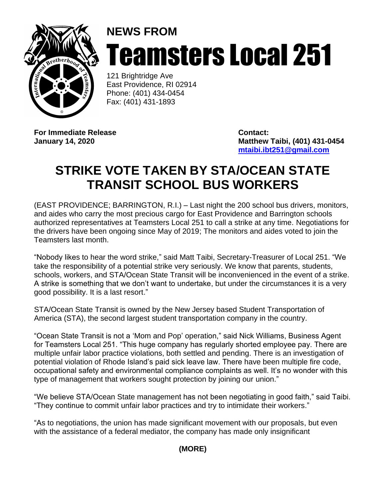

## **NEWS FROM** Teamsters Local 251

121 Brightridge Ave East Providence, RI 02914 Phone: (401) 434-0454 Fax: (401) 431-1893

**For Immediate Release Contact:**

**January 14, 2020 Matthew Taibi, (401) 431-0454 [mtaibi.ibt251@gmail.com](mailto:mtaibi.ibt251@gmail.com)**

## **STRIKE VOTE TAKEN BY STA/OCEAN STATE TRANSIT SCHOOL BUS WORKERS**

(EAST PROVIDENCE; BARRINGTON, R.I.) – Last night the 200 school bus drivers, monitors, and aides who carry the most precious cargo for East Providence and Barrington schools authorized representatives at Teamsters Local 251 to call a strike at any time. Negotiations for the drivers have been ongoing since May of 2019; The monitors and aides voted to join the Teamsters last month.

"Nobody likes to hear the word strike," said Matt Taibi, Secretary-Treasurer of Local 251. "We take the responsibility of a potential strike very seriously. We know that parents, students, schools, workers, and STA/Ocean State Transit will be inconvenienced in the event of a strike. A strike is something that we don't want to undertake, but under the circumstances it is a very good possibility. It is a last resort."

STA/Ocean State Transit is owned by the New Jersey based Student Transportation of America (STA), the second largest student transportation company in the country.

"Ocean State Transit is not a 'Mom and Pop' operation," said Nick Williams, Business Agent for Teamsters Local 251. "This huge company has regularly shorted employee pay. There are multiple unfair labor practice violations, both settled and pending. There is an investigation of potential violation of Rhode Island's paid sick leave law. There have been multiple fire code, occupational safety and environmental compliance complaints as well. It's no wonder with this type of management that workers sought protection by joining our union."

"We believe STA/Ocean State management has not been negotiating in good faith," said Taibi. "They continue to commit unfair labor practices and try to intimidate their workers."

"As to negotiations, the union has made significant movement with our proposals, but even with the assistance of a federal mediator, the company has made only insignificant

**(MORE)**